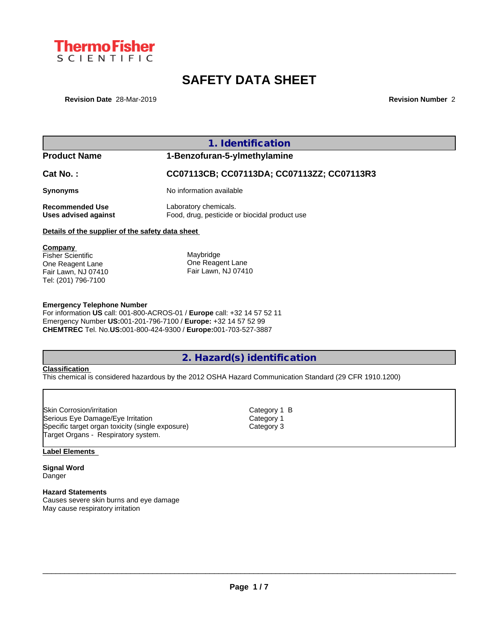

# **SAFETY DATA SHEET**

**Revision Date** 28-Mar-2019 **Revision Number** 2

|                                                                                                       | 1. Identification                                                      |
|-------------------------------------------------------------------------------------------------------|------------------------------------------------------------------------|
| <b>Product Name</b>                                                                                   | 1-Benzofuran-5-ylmethylamine                                           |
| Cat No.:                                                                                              | CC07113CB; CC07113DA; CC07113ZZ; CC07113R3                             |
| <b>Synonyms</b>                                                                                       | No information available                                               |
| <b>Recommended Use</b><br>Uses advised against                                                        | Laboratory chemicals.<br>Food, drug, pesticide or biocidal product use |
| Details of the supplier of the safety data sheet                                                      |                                                                        |
| Company<br><b>Fisher Scientific</b><br>One Reagent Lane<br>Fair Lawn, NJ 07410<br>Tel: (201) 796-7100 | Maybridge<br>One Reagent Lane<br>Fair Lawn, NJ 07410                   |

### **Emergency Telephone Number**

For information **US** call: 001-800-ACROS-01 / **Europe** call: +32 14 57 52 11 Emergency Number **US:**001-201-796-7100 / **Europe:** +32 14 57 52 99 **CHEMTREC** Tel. No.**US:**001-800-424-9300 / **Europe:**001-703-527-3887

### **2. Hazard(s) identification**

### **Classification**

This chemical is considered hazardous by the 2012 OSHA Hazard Communication Standard (29 CFR 1910.1200)

Skin Corrosion/irritation **Category 1 B** Serious Eye Damage/Eye Irritation Category 1 Specific target organ toxicity (single exposure) Category 3 Target Organs - Respiratory system.

#### **Label Elements**

**Signal Word** Danger

**Hazard Statements** Causes severe skin burns and eye damage May cause respiratory irritation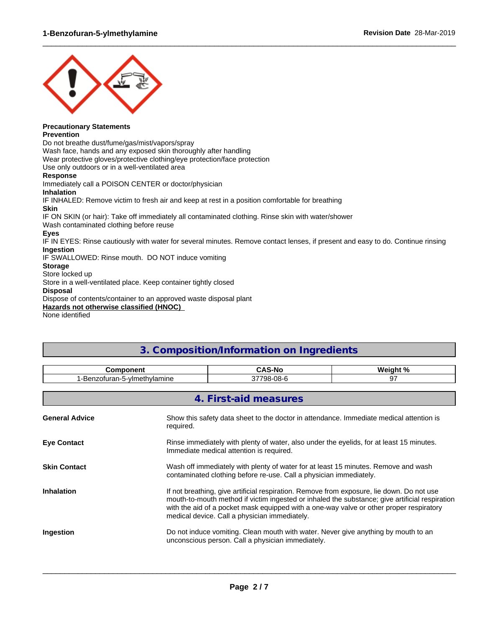

### **Precautionary Statements**

### **Prevention**

Do not breathe dust/fume/gas/mist/vapors/spray

Wash face, hands and any exposed skin thoroughly after handling

Wear protective gloves/protective clothing/eye protection/face protection

Use only outdoors or in a well-ventilated area

### **Response**

Immediately call a POISON CENTER or doctor/physician **Inhalation** IF INHALED: Remove victim to fresh air and keep at rest in a position comfortable for breathing

### **Skin**

IF ON SKIN (or hair): Take off immediately all contaminated clothing. Rinse skin with water/shower

Wash contaminated clothing before reuse

### **Eyes**

IF IN EYES: Rinse cautiously with water for several minutes. Remove contact lenses, if present and easy to do. Continue rinsing **Ingestion**

 $\_$  ,  $\_$  ,  $\_$  ,  $\_$  ,  $\_$  ,  $\_$  ,  $\_$  ,  $\_$  ,  $\_$  ,  $\_$  ,  $\_$  ,  $\_$  ,  $\_$  ,  $\_$  ,  $\_$  ,  $\_$  ,  $\_$  ,  $\_$  ,  $\_$  ,  $\_$  ,  $\_$  ,  $\_$  ,  $\_$  ,  $\_$  ,  $\_$  ,  $\_$  ,  $\_$  ,  $\_$  ,  $\_$  ,  $\_$  ,  $\_$  ,  $\_$  ,  $\_$  ,  $\_$  ,  $\_$  ,  $\_$  ,  $\_$  ,

IF SWALLOWED: Rinse mouth. DO NOT induce vomiting

### **Storage**

Store locked up

Store in a well-ventilated place. Keep container tightly closed

### **Disposal**

Dispose of contents/container to an approved waste disposal plant

**Hazards not otherwise classified (HNOC)**

None identified

## **3. Composition/Information on Ingredients**

| <b>Component</b>             |           | <b>CAS-No</b>                                                                                                                                                                                                                                                                                                                           | Weight % |
|------------------------------|-----------|-----------------------------------------------------------------------------------------------------------------------------------------------------------------------------------------------------------------------------------------------------------------------------------------------------------------------------------------|----------|
| 1-Benzofuran-5-ylmethylamine |           | 37798-08-6                                                                                                                                                                                                                                                                                                                              | 97       |
|                              |           |                                                                                                                                                                                                                                                                                                                                         |          |
|                              |           | 4. First-aid measures                                                                                                                                                                                                                                                                                                                   |          |
| <b>General Advice</b>        | required. | Show this safety data sheet to the doctor in attendance. Immediate medical attention is                                                                                                                                                                                                                                                 |          |
| <b>Eye Contact</b>           |           | Rinse immediately with plenty of water, also under the eyelids, for at least 15 minutes.<br>Immediate medical attention is required.                                                                                                                                                                                                    |          |
| <b>Skin Contact</b>          |           | Wash off immediately with plenty of water for at least 15 minutes. Remove and wash<br>contaminated clothing before re-use. Call a physician immediately.                                                                                                                                                                                |          |
| <b>Inhalation</b>            |           | If not breathing, give artificial respiration. Remove from exposure, lie down. Do not use<br>mouth-to-mouth method if victim ingested or inhaled the substance; give artificial respiration<br>with the aid of a pocket mask equipped with a one-way valve or other proper respiratory<br>medical device. Call a physician immediately. |          |
| Ingestion                    |           | Do not induce vomiting. Clean mouth with water. Never give anything by mouth to an<br>unconscious person. Call a physician immediately.                                                                                                                                                                                                 |          |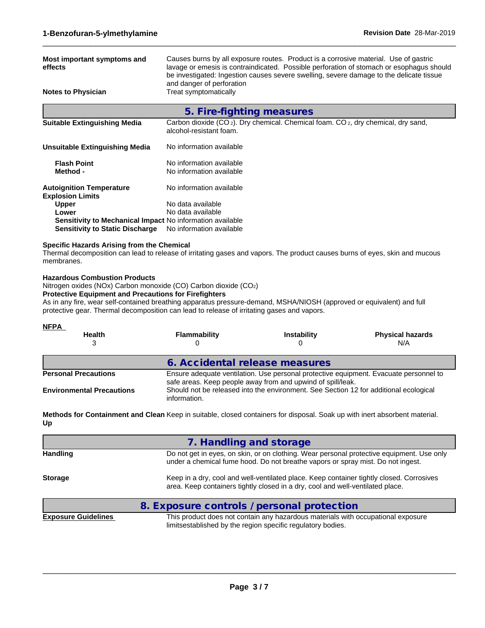| Most important symptoms and<br>effects                                                                                                                                                                                                                                                             |                                                                    | Causes burns by all exposure routes. Product is a corrosive material. Use of gastric                                                                                                                                                          | lavage or emesis is contraindicated. Possible perforation of stomach or esophagus should<br>be investigated: Ingestion causes severe swelling, severe damage to the delicate tissue |
|----------------------------------------------------------------------------------------------------------------------------------------------------------------------------------------------------------------------------------------------------------------------------------------------------|--------------------------------------------------------------------|-----------------------------------------------------------------------------------------------------------------------------------------------------------------------------------------------------------------------------------------------|-------------------------------------------------------------------------------------------------------------------------------------------------------------------------------------|
| <b>Notes to Physician</b>                                                                                                                                                                                                                                                                          | and danger of perforation<br>Treat symptomatically                 |                                                                                                                                                                                                                                               |                                                                                                                                                                                     |
|                                                                                                                                                                                                                                                                                                    | 5. Fire-fighting measures                                          |                                                                                                                                                                                                                                               |                                                                                                                                                                                     |
| <b>Suitable Extinguishing Media</b>                                                                                                                                                                                                                                                                | alcohol-resistant foam.                                            | Carbon dioxide (CO <sub>2</sub> ). Dry chemical. Chemical foam. CO <sub>2</sub> , dry chemical, dry sand,                                                                                                                                     |                                                                                                                                                                                     |
| <b>Unsuitable Extinguishing Media</b>                                                                                                                                                                                                                                                              | No information available                                           |                                                                                                                                                                                                                                               |                                                                                                                                                                                     |
| <b>Flash Point</b><br>Method -                                                                                                                                                                                                                                                                     | No information available<br>No information available               |                                                                                                                                                                                                                                               |                                                                                                                                                                                     |
| <b>Autoignition Temperature</b><br><b>Explosion Limits</b>                                                                                                                                                                                                                                         | No information available                                           |                                                                                                                                                                                                                                               |                                                                                                                                                                                     |
| Upper<br>Lower<br>Sensitivity to Mechanical Impact No information available<br><b>Sensitivity to Static Discharge</b>                                                                                                                                                                              | No data available<br>No data available<br>No information available |                                                                                                                                                                                                                                               |                                                                                                                                                                                     |
| <b>Specific Hazards Arising from the Chemical</b><br>Thermal decomposition can lead to release of irritating gases and vapors. The product causes burns of eyes, skin and mucous<br>membranes.                                                                                                     |                                                                    |                                                                                                                                                                                                                                               |                                                                                                                                                                                     |
| <b>Protective Equipment and Precautions for Firefighters</b><br>As in any fire, wear self-contained breathing apparatus pressure-demand, MSHA/NIOSH (approved or equivalent) and full<br>protective gear. Thermal decomposition can lead to release of irritating gases and vapors.<br><b>NFPA</b> |                                                                    |                                                                                                                                                                                                                                               |                                                                                                                                                                                     |
| <b>Health</b><br>3                                                                                                                                                                                                                                                                                 | <b>Flammability</b><br>0                                           | <b>Instability</b><br>0                                                                                                                                                                                                                       | <b>Physical hazards</b><br>N/A                                                                                                                                                      |
|                                                                                                                                                                                                                                                                                                    | 6. Accidental release measures                                     |                                                                                                                                                                                                                                               |                                                                                                                                                                                     |
| <b>Personal Precautions</b><br><b>Environmental Precautions</b>                                                                                                                                                                                                                                    | information.                                                       | Ensure adequate ventilation. Use personal protective equipment. Evacuate personnel to<br>safe areas. Keep people away from and upwind of spill/leak.<br>Should not be released into the environment. See Section 12 for additional ecological |                                                                                                                                                                                     |
| Methods for Containment and Clean Keep in suitable, closed containers for disposal. Soak up with inert absorbent material.<br>Up                                                                                                                                                                   |                                                                    |                                                                                                                                                                                                                                               |                                                                                                                                                                                     |
|                                                                                                                                                                                                                                                                                                    | 7. Handling and storage                                            |                                                                                                                                                                                                                                               |                                                                                                                                                                                     |
| <b>Handling</b>                                                                                                                                                                                                                                                                                    |                                                                    | under a chemical fume hood. Do not breathe vapors or spray mist. Do not ingest.                                                                                                                                                               | Do not get in eyes, on skin, or on clothing. Wear personal protective equipment. Use only                                                                                           |
| <b>Storage</b>                                                                                                                                                                                                                                                                                     |                                                                    | area. Keep containers tightly closed in a dry, cool and well-ventilated place.                                                                                                                                                                | Keep in a dry, cool and well-ventilated place. Keep container tightly closed. Corrosives                                                                                            |
|                                                                                                                                                                                                                                                                                                    | 8. Exposure controls / personal protection                         |                                                                                                                                                                                                                                               |                                                                                                                                                                                     |
| <b>Exposure Guidelines</b>                                                                                                                                                                                                                                                                         |                                                                    | This product does not contain any hazardous materials with occupational exposure<br>limitsestablished by the region specific regulatory bodies.                                                                                               |                                                                                                                                                                                     |

 $\_$  ,  $\_$  ,  $\_$  ,  $\_$  ,  $\_$  ,  $\_$  ,  $\_$  ,  $\_$  ,  $\_$  ,  $\_$  ,  $\_$  ,  $\_$  ,  $\_$  ,  $\_$  ,  $\_$  ,  $\_$  ,  $\_$  ,  $\_$  ,  $\_$  ,  $\_$  ,  $\_$  ,  $\_$  ,  $\_$  ,  $\_$  ,  $\_$  ,  $\_$  ,  $\_$  ,  $\_$  ,  $\_$  ,  $\_$  ,  $\_$  ,  $\_$  ,  $\_$  ,  $\_$  ,  $\_$  ,  $\_$  ,  $\_$  ,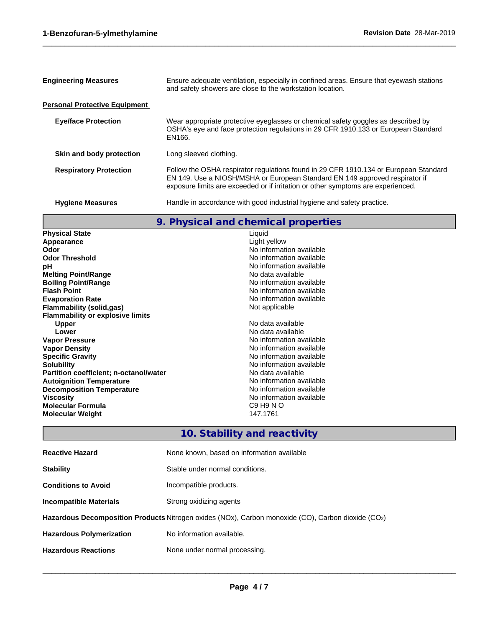| <b>Engineering Measures</b>          | Ensure adequate ventilation, especially in confined areas. Ensure that eyewash stations<br>and safety showers are close to the workstation location.                                                                                                    |
|--------------------------------------|---------------------------------------------------------------------------------------------------------------------------------------------------------------------------------------------------------------------------------------------------------|
| <b>Personal Protective Equipment</b> |                                                                                                                                                                                                                                                         |
| <b>Eye/face Protection</b>           | Wear appropriate protective eyeglasses or chemical safety goggles as described by<br>OSHA's eye and face protection regulations in 29 CFR 1910.133 or European Standard<br>EN166.                                                                       |
| Skin and body protection             | Long sleeved clothing.                                                                                                                                                                                                                                  |
| <b>Respiratory Protection</b>        | Follow the OSHA respirator regulations found in 29 CFR 1910.134 or European Standard<br>EN 149. Use a NIOSH/MSHA or European Standard EN 149 approved respirator if<br>exposure limits are exceeded or if irritation or other symptoms are experienced. |
| <b>Hygiene Measures</b>              | Handle in accordance with good industrial hygiene and safety practice.                                                                                                                                                                                  |
|                                      |                                                                                                                                                                                                                                                         |

 $\_$  ,  $\_$  ,  $\_$  ,  $\_$  ,  $\_$  ,  $\_$  ,  $\_$  ,  $\_$  ,  $\_$  ,  $\_$  ,  $\_$  ,  $\_$  ,  $\_$  ,  $\_$  ,  $\_$  ,  $\_$  ,  $\_$  ,  $\_$  ,  $\_$  ,  $\_$  ,  $\_$  ,  $\_$  ,  $\_$  ,  $\_$  ,  $\_$  ,  $\_$  ,  $\_$  ,  $\_$  ,  $\_$  ,  $\_$  ,  $\_$  ,  $\_$  ,  $\_$  ,  $\_$  ,  $\_$  ,  $\_$  ,  $\_$  ,

## **9. Physical and chemical properties**

| <b>Physical State</b>                         | Liquid                                       |
|-----------------------------------------------|----------------------------------------------|
| Appearance                                    | Light yellow                                 |
| Odor                                          | No information available                     |
| <b>Odor Threshold</b>                         | No information available                     |
| рH                                            | No information available                     |
| <b>Melting Point/Range</b>                    | No data available                            |
| <b>Boiling Point/Range</b>                    | No information available                     |
| <b>Flash Point</b>                            | No information available                     |
| <b>Evaporation Rate</b>                       | No information available                     |
| <b>Flammability (solid,gas)</b>               | Not applicable                               |
| <b>Flammability or explosive limits</b>       |                                              |
| <b>Upper</b>                                  | No data available                            |
| Lower                                         | No data available                            |
| <b>Vapor Pressure</b>                         | No information available                     |
| <b>Vapor Density</b>                          | No information available                     |
| <b>Specific Gravity</b>                       | No information available                     |
| <b>Solubility</b>                             | No information available                     |
| <b>Partition coefficient; n-octanol/water</b> | No data available                            |
| <b>Autoignition Temperature</b>               | No information available                     |
| <b>Decomposition Temperature</b>              | No information available                     |
| <b>Viscosity</b>                              | No information available                     |
| <b>Molecular Formula</b>                      | C <sub>9</sub> H <sub>9</sub> N <sub>O</sub> |
| <b>Molecular Weight</b>                       | 147.1761                                     |
|                                               |                                              |

# **10. Stability and reactivity**

| <b>Reactive Hazard</b>                                                                             | None known, based on information available |  |
|----------------------------------------------------------------------------------------------------|--------------------------------------------|--|
| <b>Stability</b>                                                                                   | Stable under normal conditions.            |  |
| <b>Conditions to Avoid</b>                                                                         | Incompatible products.                     |  |
| <b>Incompatible Materials</b>                                                                      | Strong oxidizing agents                    |  |
| Hazardous Decomposition Products Nitrogen oxides (NOx), Carbon monoxide (CO), Carbon dioxide (CO2) |                                            |  |
| <b>Hazardous Polymerization</b>                                                                    | No information available.                  |  |
| <b>Hazardous Reactions</b>                                                                         | None under normal processing.              |  |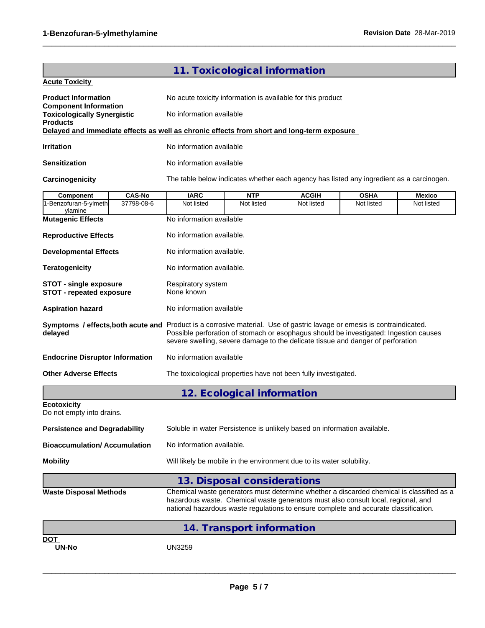| 11. Toxicological information<br><b>Acute Toxicity</b><br><b>Product Information</b><br>No acute toxicity information is available for this product<br><b>Component Information</b><br>No information available<br><b>Toxicologically Synergistic</b><br><b>Products</b><br>Delayed and immediate effects as well as chronic effects from short and long-term exposure<br>No information available<br><b>Irritation</b><br>No information available<br><b>Sensitization</b><br>Carcinogenicity<br>The table below indicates whether each agency has listed any ingredient as a carcinogen.<br><b>IARC</b><br><b>CAS-No</b><br><b>NTP</b><br><b>ACGIH</b><br><b>OSHA</b><br><b>Component</b><br>Mexico<br>37798-08-6<br>1-Benzofuran-5-ylmeth<br>Not listed<br>Not listed<br>Not listed<br>Not listed<br>Not listed<br>ylamine<br>No information available<br><b>Mutagenic Effects</b><br><b>Reproductive Effects</b><br>No information available. |  |  |  |
|---------------------------------------------------------------------------------------------------------------------------------------------------------------------------------------------------------------------------------------------------------------------------------------------------------------------------------------------------------------------------------------------------------------------------------------------------------------------------------------------------------------------------------------------------------------------------------------------------------------------------------------------------------------------------------------------------------------------------------------------------------------------------------------------------------------------------------------------------------------------------------------------------------------------------------------------------|--|--|--|
|                                                                                                                                                                                                                                                                                                                                                                                                                                                                                                                                                                                                                                                                                                                                                                                                                                                                                                                                                   |  |  |  |
|                                                                                                                                                                                                                                                                                                                                                                                                                                                                                                                                                                                                                                                                                                                                                                                                                                                                                                                                                   |  |  |  |
|                                                                                                                                                                                                                                                                                                                                                                                                                                                                                                                                                                                                                                                                                                                                                                                                                                                                                                                                                   |  |  |  |
|                                                                                                                                                                                                                                                                                                                                                                                                                                                                                                                                                                                                                                                                                                                                                                                                                                                                                                                                                   |  |  |  |
|                                                                                                                                                                                                                                                                                                                                                                                                                                                                                                                                                                                                                                                                                                                                                                                                                                                                                                                                                   |  |  |  |
|                                                                                                                                                                                                                                                                                                                                                                                                                                                                                                                                                                                                                                                                                                                                                                                                                                                                                                                                                   |  |  |  |
|                                                                                                                                                                                                                                                                                                                                                                                                                                                                                                                                                                                                                                                                                                                                                                                                                                                                                                                                                   |  |  |  |
|                                                                                                                                                                                                                                                                                                                                                                                                                                                                                                                                                                                                                                                                                                                                                                                                                                                                                                                                                   |  |  |  |
|                                                                                                                                                                                                                                                                                                                                                                                                                                                                                                                                                                                                                                                                                                                                                                                                                                                                                                                                                   |  |  |  |
|                                                                                                                                                                                                                                                                                                                                                                                                                                                                                                                                                                                                                                                                                                                                                                                                                                                                                                                                                   |  |  |  |
|                                                                                                                                                                                                                                                                                                                                                                                                                                                                                                                                                                                                                                                                                                                                                                                                                                                                                                                                                   |  |  |  |
| No information available.<br><b>Developmental Effects</b>                                                                                                                                                                                                                                                                                                                                                                                                                                                                                                                                                                                                                                                                                                                                                                                                                                                                                         |  |  |  |
| <b>Teratogenicity</b><br>No information available.                                                                                                                                                                                                                                                                                                                                                                                                                                                                                                                                                                                                                                                                                                                                                                                                                                                                                                |  |  |  |
| <b>STOT - single exposure</b><br>Respiratory system<br><b>STOT - repeated exposure</b><br>None known                                                                                                                                                                                                                                                                                                                                                                                                                                                                                                                                                                                                                                                                                                                                                                                                                                              |  |  |  |
| No information available<br><b>Aspiration hazard</b>                                                                                                                                                                                                                                                                                                                                                                                                                                                                                                                                                                                                                                                                                                                                                                                                                                                                                              |  |  |  |
| Symptoms / effects, both acute and Product is a corrosive material. Use of gastric lavage or emesis is contraindicated.<br>Possible perforation of stomach or esophagus should be investigated: Ingestion causes<br>delayed<br>severe swelling, severe damage to the delicate tissue and danger of perforation                                                                                                                                                                                                                                                                                                                                                                                                                                                                                                                                                                                                                                    |  |  |  |
| No information available<br><b>Endocrine Disruptor Information</b>                                                                                                                                                                                                                                                                                                                                                                                                                                                                                                                                                                                                                                                                                                                                                                                                                                                                                |  |  |  |
| <b>Other Adverse Effects</b><br>The toxicological properties have not been fully investigated.                                                                                                                                                                                                                                                                                                                                                                                                                                                                                                                                                                                                                                                                                                                                                                                                                                                    |  |  |  |
| 12. Ecological information                                                                                                                                                                                                                                                                                                                                                                                                                                                                                                                                                                                                                                                                                                                                                                                                                                                                                                                        |  |  |  |
| <b>Ecotoxicity</b><br>Do not empty into drains.                                                                                                                                                                                                                                                                                                                                                                                                                                                                                                                                                                                                                                                                                                                                                                                                                                                                                                   |  |  |  |
| <b>Persistence and Degradability</b><br>Soluble in water Persistence is unlikely based on information available.                                                                                                                                                                                                                                                                                                                                                                                                                                                                                                                                                                                                                                                                                                                                                                                                                                  |  |  |  |
| <b>Bioaccumulation/ Accumulation</b><br>No information available.                                                                                                                                                                                                                                                                                                                                                                                                                                                                                                                                                                                                                                                                                                                                                                                                                                                                                 |  |  |  |
| Will likely be mobile in the environment due to its water solubility.<br><b>Mobility</b>                                                                                                                                                                                                                                                                                                                                                                                                                                                                                                                                                                                                                                                                                                                                                                                                                                                          |  |  |  |
| 13. Disposal considerations                                                                                                                                                                                                                                                                                                                                                                                                                                                                                                                                                                                                                                                                                                                                                                                                                                                                                                                       |  |  |  |
| Chemical waste generators must determine whether a discarded chemical is classified as a<br><b>Waste Disposal Methods</b><br>hazardous waste. Chemical waste generators must also consult local, regional, and                                                                                                                                                                                                                                                                                                                                                                                                                                                                                                                                                                                                                                                                                                                                    |  |  |  |
| national hazardous waste regulations to ensure complete and accurate classification.                                                                                                                                                                                                                                                                                                                                                                                                                                                                                                                                                                                                                                                                                                                                                                                                                                                              |  |  |  |
| 14. Transport information                                                                                                                                                                                                                                                                                                                                                                                                                                                                                                                                                                                                                                                                                                                                                                                                                                                                                                                         |  |  |  |

 $\_$  ,  $\_$  ,  $\_$  ,  $\_$  ,  $\_$  ,  $\_$  ,  $\_$  ,  $\_$  ,  $\_$  ,  $\_$  ,  $\_$  ,  $\_$  ,  $\_$  ,  $\_$  ,  $\_$  ,  $\_$  ,  $\_$  ,  $\_$  ,  $\_$  ,  $\_$  ,  $\_$  ,  $\_$  ,  $\_$  ,  $\_$  ,  $\_$  ,  $\_$  ,  $\_$  ,  $\_$  ,  $\_$  ,  $\_$  ,  $\_$  ,  $\_$  ,  $\_$  ,  $\_$  ,  $\_$  ,  $\_$  ,  $\_$  ,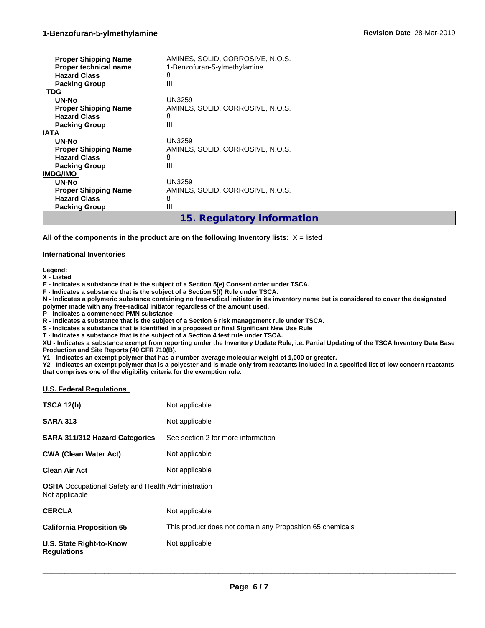| <b>Proper Shipping Name</b><br>Proper technical name<br><b>Hazard Class</b><br><b>Packing Group</b> | AMINES, SOLID, CORROSIVE, N.O.S.<br>1-Benzofuran-5-ylmethylamine<br>8<br>Ш |
|-----------------------------------------------------------------------------------------------------|----------------------------------------------------------------------------|
| <b>TDG</b>                                                                                          |                                                                            |
| <b>UN-No</b>                                                                                        | UN3259                                                                     |
| <b>Proper Shipping Name</b>                                                                         | AMINES, SOLID, CORROSIVE, N.O.S.                                           |
| <b>Hazard Class</b>                                                                                 | 8                                                                          |
| <b>Packing Group</b>                                                                                | Ш                                                                          |
| <b>IATA</b>                                                                                         |                                                                            |
| <b>UN-No</b>                                                                                        | <b>UN3259</b>                                                              |
| <b>Proper Shipping Name</b>                                                                         | AMINES, SOLID, CORROSIVE, N.O.S.                                           |
| <b>Hazard Class</b>                                                                                 | 8                                                                          |
| <b>Packing Group</b>                                                                                | Ш                                                                          |
| <b>IMDG/IMO</b>                                                                                     |                                                                            |
| UN-No                                                                                               | <b>UN3259</b>                                                              |
| <b>Proper Shipping Name</b>                                                                         | AMINES, SOLID, CORROSIVE, N.O.S.                                           |
| <b>Hazard Class</b>                                                                                 | 8                                                                          |
| <b>Packing Group</b>                                                                                | Ш                                                                          |
|                                                                                                     | 15. Regulatory information                                                 |

**All of the components in the product are on the following Inventory lists:** X = listed

### **International Inventories**

**Legend:**

**X - Listed**

**E - Indicates a substance that is the subject of a Section 5(e) Consent order under TSCA.**

**F - Indicates a substance that is the subject of a Section 5(f) Rule under TSCA.**

**N - Indicates a polymeric substance containing no free-radical initiator in its inventory name but is considered to cover the designated polymer made with any free-radical initiator regardless of the amount used.**

 $\_$  ,  $\_$  ,  $\_$  ,  $\_$  ,  $\_$  ,  $\_$  ,  $\_$  ,  $\_$  ,  $\_$  ,  $\_$  ,  $\_$  ,  $\_$  ,  $\_$  ,  $\_$  ,  $\_$  ,  $\_$  ,  $\_$  ,  $\_$  ,  $\_$  ,  $\_$  ,  $\_$  ,  $\_$  ,  $\_$  ,  $\_$  ,  $\_$  ,  $\_$  ,  $\_$  ,  $\_$  ,  $\_$  ,  $\_$  ,  $\_$  ,  $\_$  ,  $\_$  ,  $\_$  ,  $\_$  ,  $\_$  ,  $\_$  ,

**P - Indicates a commenced PMN substance**

**R - Indicates a substance that is the subject of a Section 6 risk management rule under TSCA.**

**S - Indicates a substance that is identified in a proposed or final Significant New Use Rule**

**T - Indicates a substance that is the subject of a Section 4 test rule under TSCA.**

**XU - Indicates a substance exempt from reporting under the Inventory Update Rule, i.e. Partial Updating of the TSCA Inventory Data Base Production and Site Reports (40 CFR 710(B).**

**Y1 - Indicates an exempt polymer that has a number-average molecular weight of 1,000 or greater.**

**Y2 - Indicates an exempt polymer that is a polyester and is made only from reactants included in a specified list of low concern reactants that comprises one of the eligibility criteria for the exemption rule.**

### **U.S. Federal Regulations**

| <b>TSCA 12(b)</b>                                                           | Not applicable                                             |
|-----------------------------------------------------------------------------|------------------------------------------------------------|
| <b>SARA 313</b>                                                             | Not applicable                                             |
| <b>SARA 311/312 Hazard Categories</b>                                       | See section 2 for more information                         |
| <b>CWA (Clean Water Act)</b>                                                | Not applicable                                             |
| <b>Clean Air Act</b>                                                        | Not applicable                                             |
| <b>OSHA</b> Occupational Safety and Health Administration<br>Not applicable |                                                            |
| <b>CERCLA</b>                                                               | Not applicable                                             |
| <b>California Proposition 65</b>                                            | This product does not contain any Proposition 65 chemicals |
| U.S. State Right-to-Know<br><b>Regulations</b>                              | Not applicable                                             |